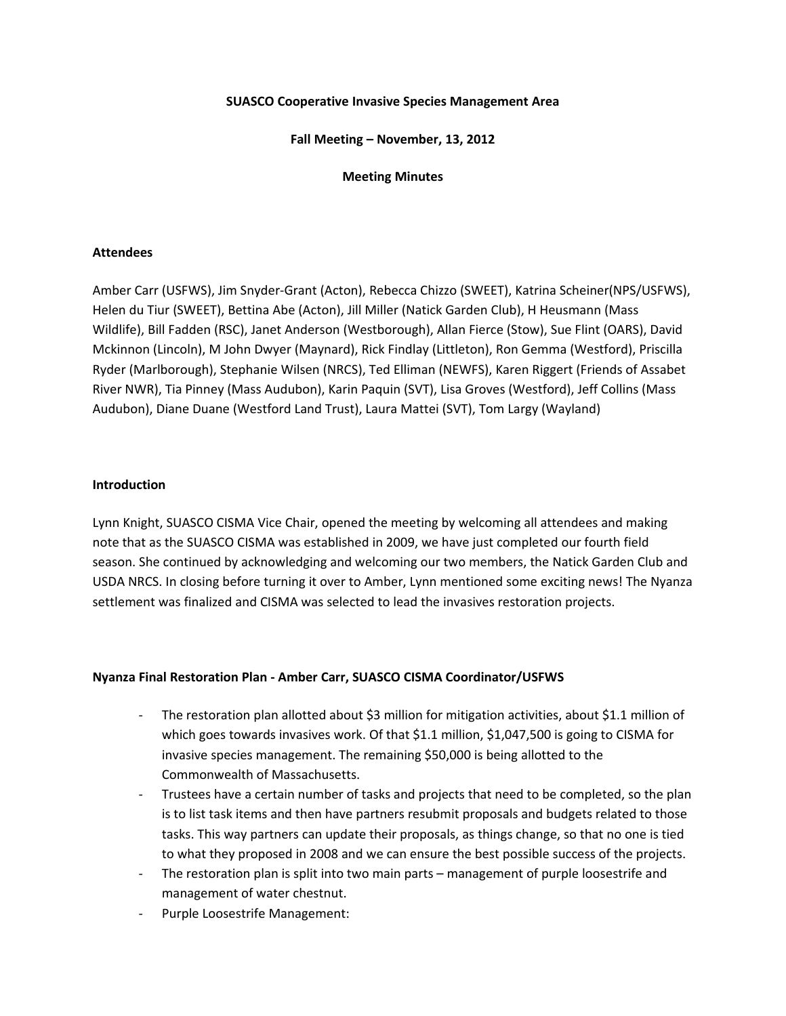#### **SUASCO Cooperative Invasive Species Management Area**

**Fall Meeting – November, 13, 2012**

### **Meeting Minutes**

### **Attendees**

Amber Carr (USFWS), Jim Snyder-Grant (Acton), Rebecca Chizzo (SWEET), Katrina Scheiner(NPS/USFWS), Helen du Tiur (SWEET), Bettina Abe (Acton), Jill Miller (Natick Garden Club), H Heusmann (Mass Wildlife), Bill Fadden (RSC), Janet Anderson (Westborough), Allan Fierce (Stow), Sue Flint (OARS), David Mckinnon (Lincoln), M John Dwyer (Maynard), Rick Findlay (Littleton), Ron Gemma (Westford), Priscilla Ryder (Marlborough), Stephanie Wilsen (NRCS), Ted Elliman (NEWFS), Karen Riggert (Friends of Assabet River NWR), Tia Pinney (Mass Audubon), Karin Paquin (SVT), Lisa Groves (Westford), Jeff Collins (Mass Audubon), Diane Duane (Westford Land Trust), Laura Mattei (SVT), Tom Largy (Wayland)

#### **Introduction**

Lynn Knight, SUASCO CISMA Vice Chair, opened the meeting by welcoming all attendees and making note that as the SUASCO CISMA was established in 2009, we have just completed our fourth field season. She continued by acknowledging and welcoming our two members, the Natick Garden Club and USDA NRCS. In closing before turning it over to Amber, Lynn mentioned some exciting news! The Nyanza settlement was finalized and CISMA was selected to lead the invasives restoration projects.

## **Nyanza Final Restoration Plan - Amber Carr, SUASCO CISMA Coordinator/USFWS**

- The restoration plan allotted about \$3 million for mitigation activities, about \$1.1 million of which goes towards invasives work. Of that \$1.1 million, \$1,047,500 is going to CISMA for invasive species management. The remaining \$50,000 is being allotted to the Commonwealth of Massachusetts.
- Trustees have a certain number of tasks and projects that need to be completed, so the plan is to list task items and then have partners resubmit proposals and budgets related to those tasks. This way partners can update their proposals, as things change, so that no one is tied to what they proposed in 2008 and we can ensure the best possible success of the projects.
- The restoration plan is split into two main parts management of purple loosestrife and management of water chestnut.
- Purple Loosestrife Management: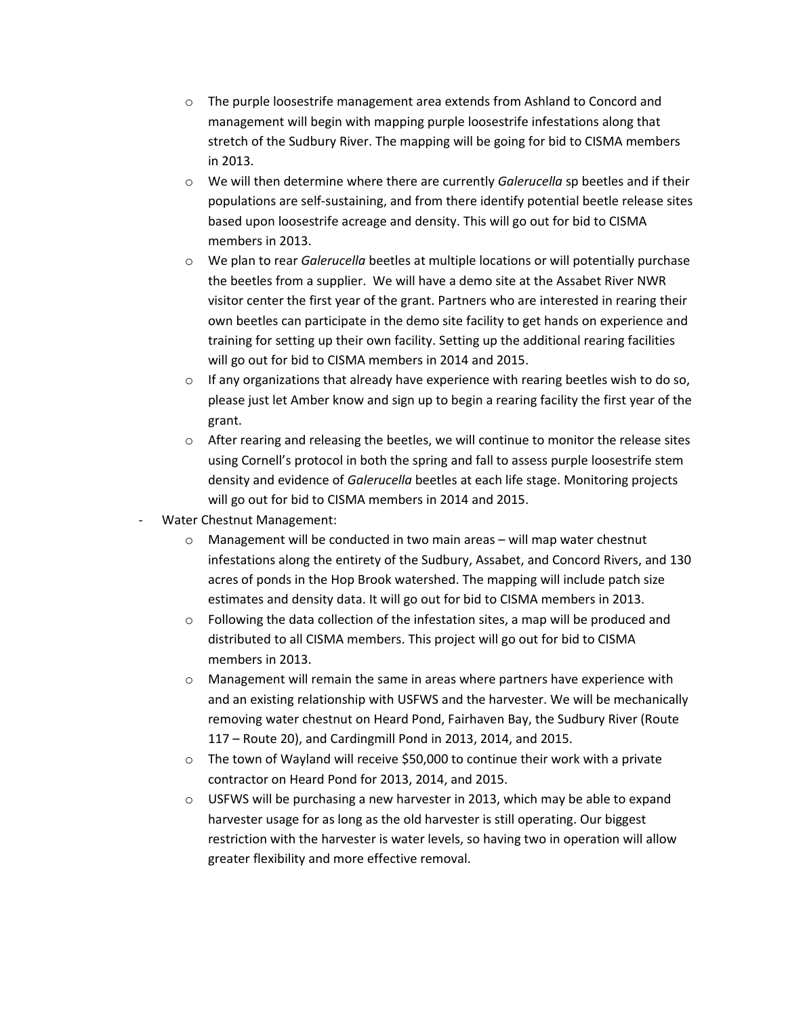- o The purple loosestrife management area extends from Ashland to Concord and management will begin with mapping purple loosestrife infestations along that stretch of the Sudbury River. The mapping will be going for bid to CISMA members in 2013.
- o We will then determine where there are currently *Galerucella* sp beetles and if their populations are self-sustaining, and from there identify potential beetle release sites based upon loosestrife acreage and density. This will go out for bid to CISMA members in 2013.
- o We plan to rear *Galerucella* beetles at multiple locations or will potentially purchase the beetles from a supplier. We will have a demo site at the Assabet River NWR visitor center the first year of the grant. Partners who are interested in rearing their own beetles can participate in the demo site facility to get hands on experience and training for setting up their own facility. Setting up the additional rearing facilities will go out for bid to CISMA members in 2014 and 2015.
- $\circ$  If any organizations that already have experience with rearing beetles wish to do so, please just let Amber know and sign up to begin a rearing facility the first year of the grant.
- $\circ$  After rearing and releasing the beetles, we will continue to monitor the release sites using Cornell's protocol in both the spring and fall to assess purple loosestrife stem density and evidence of *Galerucella* beetles at each life stage. Monitoring projects will go out for bid to CISMA members in 2014 and 2015.
- Water Chestnut Management:
	- o Management will be conducted in two main areas will map water chestnut infestations along the entirety of the Sudbury, Assabet, and Concord Rivers, and 130 acres of ponds in the Hop Brook watershed. The mapping will include patch size estimates and density data. It will go out for bid to CISMA members in 2013.
	- $\circ$  Following the data collection of the infestation sites, a map will be produced and distributed to all CISMA members. This project will go out for bid to CISMA members in 2013.
	- o Management will remain the same in areas where partners have experience with and an existing relationship with USFWS and the harvester. We will be mechanically removing water chestnut on Heard Pond, Fairhaven Bay, the Sudbury River (Route 117 – Route 20), and Cardingmill Pond in 2013, 2014, and 2015.
	- $\circ$  The town of Wayland will receive \$50,000 to continue their work with a private contractor on Heard Pond for 2013, 2014, and 2015.
	- $\circ$  USFWS will be purchasing a new harvester in 2013, which may be able to expand harvester usage for as long as the old harvester is still operating. Our biggest restriction with the harvester is water levels, so having two in operation will allow greater flexibility and more effective removal.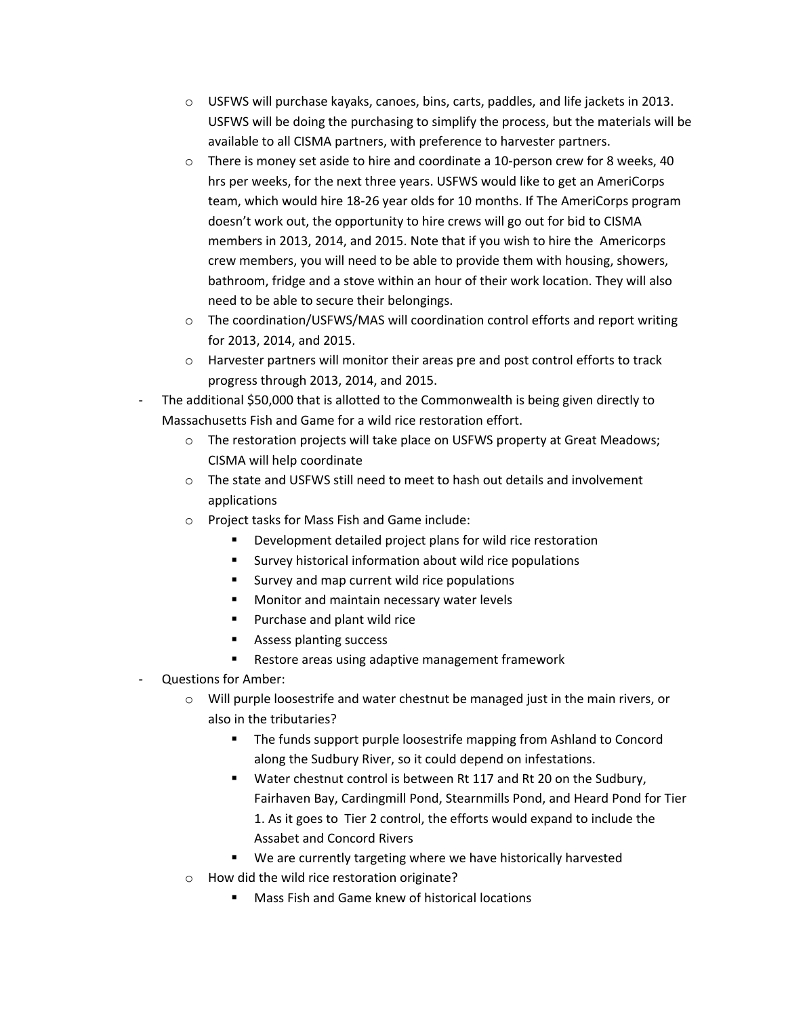- $\circ$  USFWS will purchase kayaks, canoes, bins, carts, paddles, and life jackets in 2013. USFWS will be doing the purchasing to simplify the process, but the materials will be available to all CISMA partners, with preference to harvester partners.
- $\circ$  There is money set aside to hire and coordinate a 10-person crew for 8 weeks, 40 hrs per weeks, for the next three years. USFWS would like to get an AmeriCorps team, which would hire 18-26 year olds for 10 months. If The AmeriCorps program doesn't work out, the opportunity to hire crews will go out for bid to CISMA members in 2013, 2014, and 2015. Note that if you wish to hire the Americorps crew members, you will need to be able to provide them with housing, showers, bathroom, fridge and a stove within an hour of their work location. They will also need to be able to secure their belongings.
- $\circ$  The coordination/USFWS/MAS will coordination control efforts and report writing for 2013, 2014, and 2015.
- o Harvester partners will monitor their areas pre and post control efforts to track progress through 2013, 2014, and 2015.
- The additional \$50,000 that is allotted to the Commonwealth is being given directly to Massachusetts Fish and Game for a wild rice restoration effort.
	- o The restoration projects will take place on USFWS property at Great Meadows; CISMA will help coordinate
	- $\circ$  The state and USFWS still need to meet to hash out details and involvement applications
	- o Project tasks for Mass Fish and Game include:
		- **•** Development detailed project plans for wild rice restoration
		- **Survey historical information about wild rice populations**
		- **Survey and map current wild rice populations**
		- **Monitor and maintain necessary water levels**
		- **Purchase and plant wild rice**
		- Assess planting success
		- **Restore areas using adaptive management framework**
- Questions for Amber:
	- $\circ$  Will purple loosestrife and water chestnut be managed just in the main rivers, or also in the tributaries?
		- **The funds support purple loosestrife mapping from Ashland to Concord** along the Sudbury River, so it could depend on infestations.
		- Water chestnut control is between Rt 117 and Rt 20 on the Sudbury, Fairhaven Bay, Cardingmill Pond, Stearnmills Pond, and Heard Pond for Tier 1. As it goes to Tier 2 control, the efforts would expand to include the Assabet and Concord Rivers
		- We are currently targeting where we have historically harvested
	- o How did the wild rice restoration originate?
		- Mass Fish and Game knew of historical locations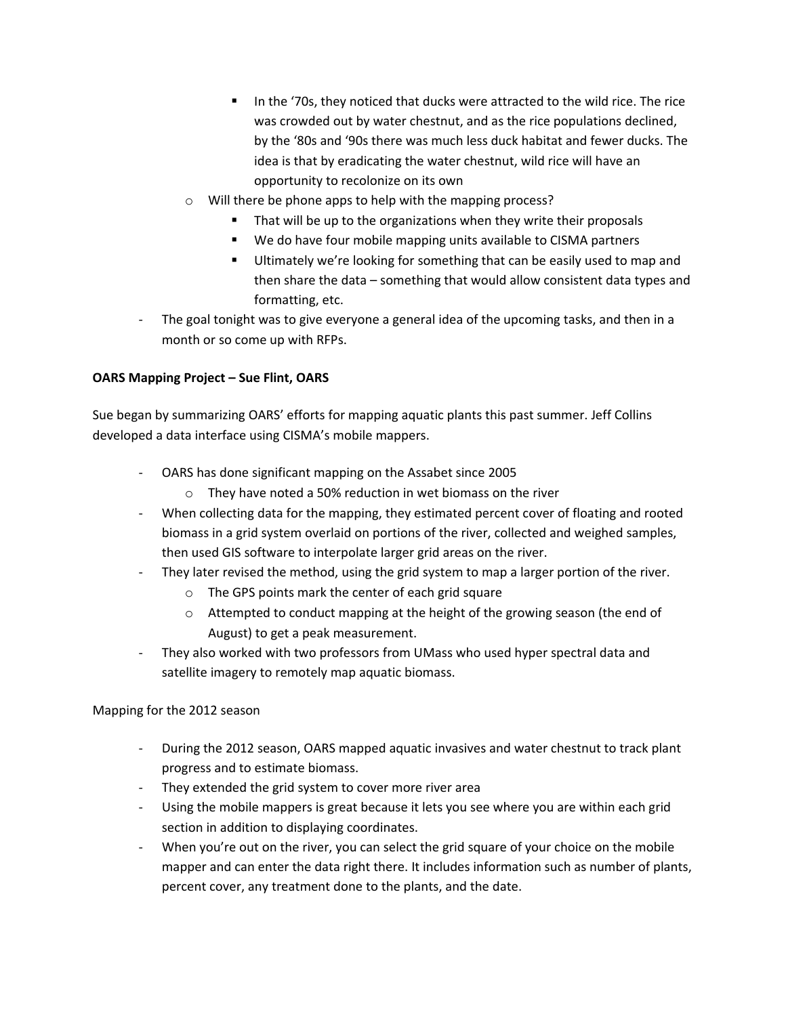- In the '70s, they noticed that ducks were attracted to the wild rice. The rice was crowded out by water chestnut, and as the rice populations declined, by the '80s and '90s there was much less duck habitat and fewer ducks. The idea is that by eradicating the water chestnut, wild rice will have an opportunity to recolonize on its own
- o Will there be phone apps to help with the mapping process?
	- That will be up to the organizations when they write their proposals
	- We do have four mobile mapping units available to CISMA partners
	- Ultimately we're looking for something that can be easily used to map and then share the data – something that would allow consistent data types and formatting, etc.
- The goal tonight was to give everyone a general idea of the upcoming tasks, and then in a month or so come up with RFPs.

# **OARS Mapping Project – Sue Flint, OARS**

Sue began by summarizing OARS' efforts for mapping aquatic plants this past summer. Jeff Collins developed a data interface using CISMA's mobile mappers.

- OARS has done significant mapping on the Assabet since 2005
	- o They have noted a 50% reduction in wet biomass on the river
- When collecting data for the mapping, they estimated percent cover of floating and rooted biomass in a grid system overlaid on portions of the river, collected and weighed samples, then used GIS software to interpolate larger grid areas on the river.
- They later revised the method, using the grid system to map a larger portion of the river.
	- o The GPS points mark the center of each grid square
	- o Attempted to conduct mapping at the height of the growing season (the end of August) to get a peak measurement.
- They also worked with two professors from UMass who used hyper spectral data and satellite imagery to remotely map aquatic biomass.

## Mapping for the 2012 season

- During the 2012 season, OARS mapped aquatic invasives and water chestnut to track plant progress and to estimate biomass.
- They extended the grid system to cover more river area
- Using the mobile mappers is great because it lets you see where you are within each grid section in addition to displaying coordinates.
- When you're out on the river, you can select the grid square of your choice on the mobile mapper and can enter the data right there. It includes information such as number of plants, percent cover, any treatment done to the plants, and the date.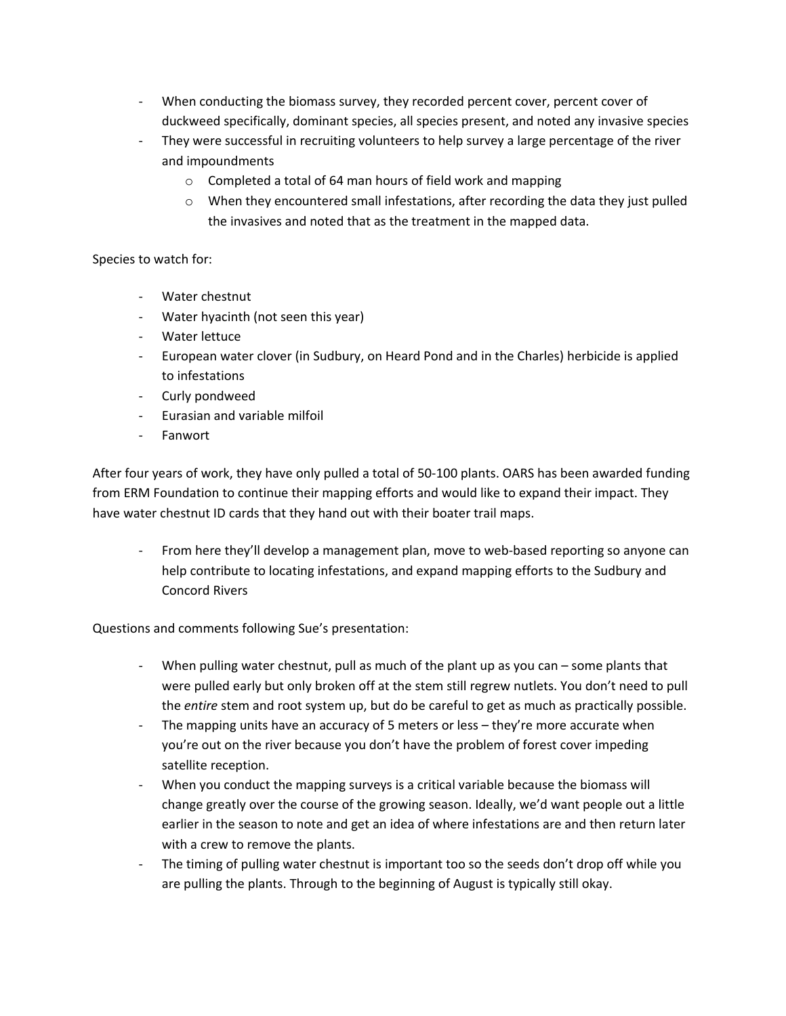- When conducting the biomass survey, they recorded percent cover, percent cover of duckweed specifically, dominant species, all species present, and noted any invasive species
- They were successful in recruiting volunteers to help survey a large percentage of the river and impoundments
	- o Completed a total of 64 man hours of field work and mapping
	- o When they encountered small infestations, after recording the data they just pulled the invasives and noted that as the treatment in the mapped data.

## Species to watch for:

- Water chestnut
- Water hyacinth (not seen this year)
- Water lettuce
- European water clover (in Sudbury, on Heard Pond and in the Charles) herbicide is applied to infestations
- Curly pondweed
- Eurasian and variable milfoil
- Fanwort

After four years of work, they have only pulled a total of 50-100 plants. OARS has been awarded funding from ERM Foundation to continue their mapping efforts and would like to expand their impact. They have water chestnut ID cards that they hand out with their boater trail maps.

- From here they'll develop a management plan, move to web-based reporting so anyone can help contribute to locating infestations, and expand mapping efforts to the Sudbury and Concord Rivers

Questions and comments following Sue's presentation:

- When pulling water chestnut, pull as much of the plant up as you can some plants that were pulled early but only broken off at the stem still regrew nutlets. You don't need to pull the *entire* stem and root system up, but do be careful to get as much as practically possible.
- The mapping units have an accuracy of 5 meters or less they're more accurate when you're out on the river because you don't have the problem of forest cover impeding satellite reception.
- When you conduct the mapping surveys is a critical variable because the biomass will change greatly over the course of the growing season. Ideally, we'd want people out a little earlier in the season to note and get an idea of where infestations are and then return later with a crew to remove the plants.
- The timing of pulling water chestnut is important too so the seeds don't drop off while you are pulling the plants. Through to the beginning of August is typically still okay.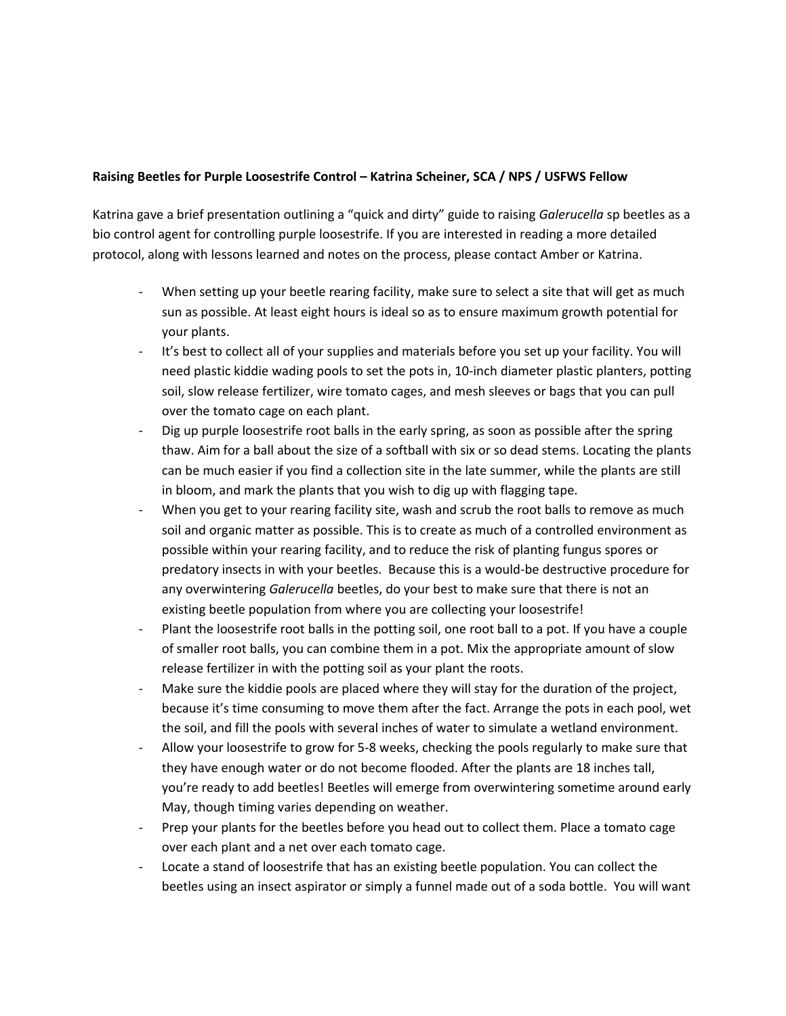## **Raising Beetles for Purple Loosestrife Control – Katrina Scheiner, SCA / NPS / USFWS Fellow**

Katrina gave a brief presentation outlining a "quick and dirty" guide to raising *Galerucella* sp beetles as a bio control agent for controlling purple loosestrife. If you are interested in reading a more detailed protocol, along with lessons learned and notes on the process, please contact Amber or Katrina.

- When setting up your beetle rearing facility, make sure to select a site that will get as much sun as possible. At least eight hours is ideal so as to ensure maximum growth potential for your plants.
- It's best to collect all of your supplies and materials before you set up your facility. You will need plastic kiddie wading pools to set the pots in, 10-inch diameter plastic planters, potting soil, slow release fertilizer, wire tomato cages, and mesh sleeves or bags that you can pull over the tomato cage on each plant.
- Dig up purple loosestrife root balls in the early spring, as soon as possible after the spring thaw. Aim for a ball about the size of a softball with six or so dead stems. Locating the plants can be much easier if you find a collection site in the late summer, while the plants are still in bloom, and mark the plants that you wish to dig up with flagging tape.
- When you get to your rearing facility site, wash and scrub the root balls to remove as much soil and organic matter as possible. This is to create as much of a controlled environment as possible within your rearing facility, and to reduce the risk of planting fungus spores or predatory insects in with your beetles. Because this is a would-be destructive procedure for any overwintering *Galerucella* beetles, do your best to make sure that there is not an existing beetle population from where you are collecting your loosestrife!
- Plant the loosestrife root balls in the potting soil, one root ball to a pot. If you have a couple of smaller root balls, you can combine them in a pot. Mix the appropriate amount of slow release fertilizer in with the potting soil as your plant the roots.
- Make sure the kiddie pools are placed where they will stay for the duration of the project, because it's time consuming to move them after the fact. Arrange the pots in each pool, wet the soil, and fill the pools with several inches of water to simulate a wetland environment.
- Allow your loosestrife to grow for 5-8 weeks, checking the pools regularly to make sure that they have enough water or do not become flooded. After the plants are 18 inches tall, you're ready to add beetles! Beetles will emerge from overwintering sometime around early May, though timing varies depending on weather.
- Prep your plants for the beetles before you head out to collect them. Place a tomato cage over each plant and a net over each tomato cage.
- Locate a stand of loosestrife that has an existing beetle population. You can collect the beetles using an insect aspirator or simply a funnel made out of a soda bottle. You will want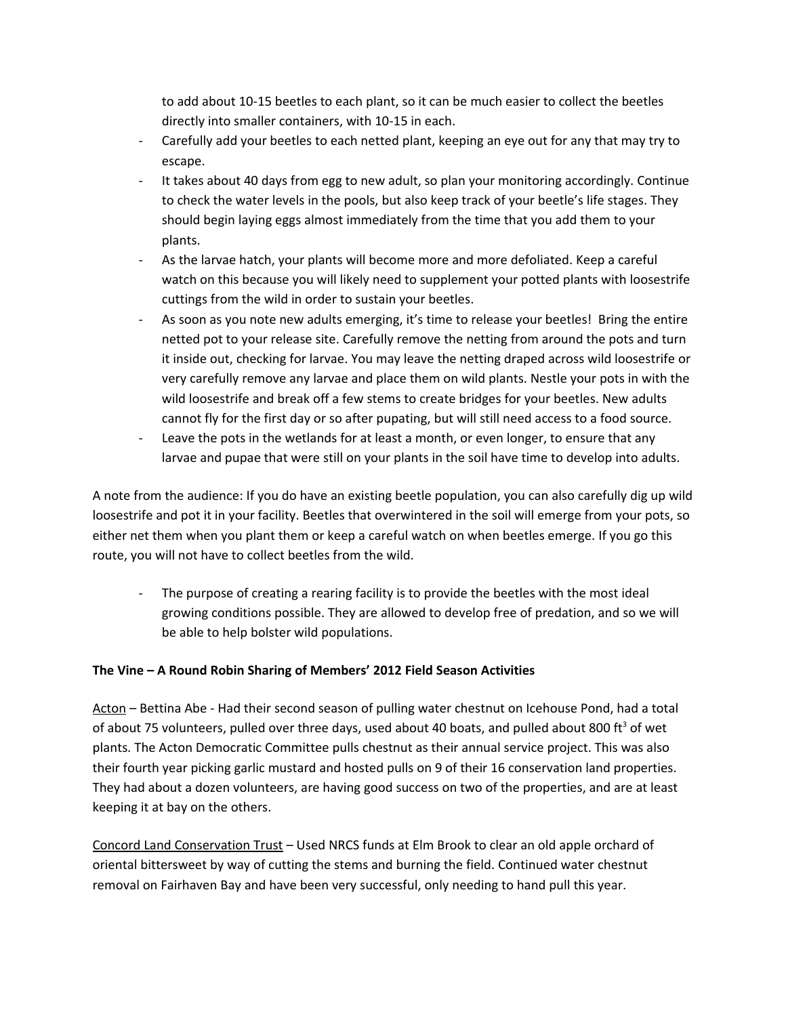to add about 10-15 beetles to each plant, so it can be much easier to collect the beetles directly into smaller containers, with 10-15 in each.

- Carefully add your beetles to each netted plant, keeping an eye out for any that may try to escape.
- It takes about 40 days from egg to new adult, so plan your monitoring accordingly. Continue to check the water levels in the pools, but also keep track of your beetle's life stages. They should begin laying eggs almost immediately from the time that you add them to your plants.
- As the larvae hatch, your plants will become more and more defoliated. Keep a careful watch on this because you will likely need to supplement your potted plants with loosestrife cuttings from the wild in order to sustain your beetles.
- As soon as you note new adults emerging, it's time to release your beetles! Bring the entire netted pot to your release site. Carefully remove the netting from around the pots and turn it inside out, checking for larvae. You may leave the netting draped across wild loosestrife or very carefully remove any larvae and place them on wild plants. Nestle your pots in with the wild loosestrife and break off a few stems to create bridges for your beetles. New adults cannot fly for the first day or so after pupating, but will still need access to a food source.
- Leave the pots in the wetlands for at least a month, or even longer, to ensure that any larvae and pupae that were still on your plants in the soil have time to develop into adults.

A note from the audience: If you do have an existing beetle population, you can also carefully dig up wild loosestrife and pot it in your facility. Beetles that overwintered in the soil will emerge from your pots, so either net them when you plant them or keep a careful watch on when beetles emerge. If you go this route, you will not have to collect beetles from the wild.

- The purpose of creating a rearing facility is to provide the beetles with the most ideal growing conditions possible. They are allowed to develop free of predation, and so we will be able to help bolster wild populations.

# **The Vine – A Round Robin Sharing of Members' 2012 Field Season Activities**

Acton – Bettina Abe - Had their second season of pulling water chestnut on Icehouse Pond, had a total of about 75 volunteers, pulled over three days, used about 40 boats, and pulled about 800 ft<sup>3</sup> of wet plants. The Acton Democratic Committee pulls chestnut as their annual service project. This was also their fourth year picking garlic mustard and hosted pulls on 9 of their 16 conservation land properties. They had about a dozen volunteers, are having good success on two of the properties, and are at least keeping it at bay on the others.

Concord Land Conservation Trust – Used NRCS funds at Elm Brook to clear an old apple orchard of oriental bittersweet by way of cutting the stems and burning the field. Continued water chestnut removal on Fairhaven Bay and have been very successful, only needing to hand pull this year.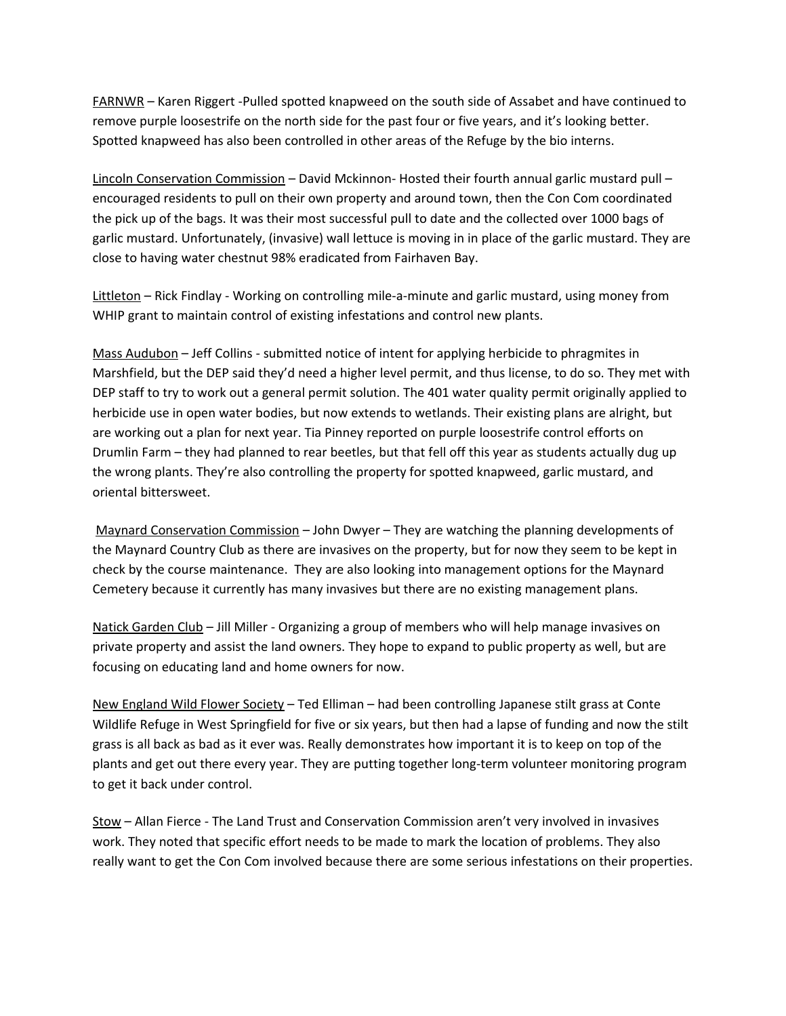FARNWR – Karen Riggert -Pulled spotted knapweed on the south side of Assabet and have continued to remove purple loosestrife on the north side for the past four or five years, and it's looking better. Spotted knapweed has also been controlled in other areas of the Refuge by the bio interns.

Lincoln Conservation Commission – David Mckinnon- Hosted their fourth annual garlic mustard pull – encouraged residents to pull on their own property and around town, then the Con Com coordinated the pick up of the bags. It was their most successful pull to date and the collected over 1000 bags of garlic mustard. Unfortunately, (invasive) wall lettuce is moving in in place of the garlic mustard. They are close to having water chestnut 98% eradicated from Fairhaven Bay.

Littleton - Rick Findlay - Working on controlling mile-a-minute and garlic mustard, using money from WHIP grant to maintain control of existing infestations and control new plants.

Mass Audubon – Jeff Collins - submitted notice of intent for applying herbicide to phragmites in Marshfield, but the DEP said they'd need a higher level permit, and thus license, to do so. They met with DEP staff to try to work out a general permit solution. The 401 water quality permit originally applied to herbicide use in open water bodies, but now extends to wetlands. Their existing plans are alright, but are working out a plan for next year. Tia Pinney reported on purple loosestrife control efforts on Drumlin Farm – they had planned to rear beetles, but that fell off this year as students actually dug up the wrong plants. They're also controlling the property for spotted knapweed, garlic mustard, and oriental bittersweet.

Maynard Conservation Commission – John Dwyer – They are watching the planning developments of the Maynard Country Club as there are invasives on the property, but for now they seem to be kept in check by the course maintenance. They are also looking into management options for the Maynard Cemetery because it currently has many invasives but there are no existing management plans.

Natick Garden Club - Jill Miller - Organizing a group of members who will help manage invasives on private property and assist the land owners. They hope to expand to public property as well, but are focusing on educating land and home owners for now.

New England Wild Flower Society – Ted Elliman – had been controlling Japanese stilt grass at Conte Wildlife Refuge in West Springfield for five or six years, but then had a lapse of funding and now the stilt grass is all back as bad as it ever was. Really demonstrates how important it is to keep on top of the plants and get out there every year. They are putting together long-term volunteer monitoring program to get it back under control.

Stow – Allan Fierce - The Land Trust and Conservation Commission aren't very involved in invasives work. They noted that specific effort needs to be made to mark the location of problems. They also really want to get the Con Com involved because there are some serious infestations on their properties.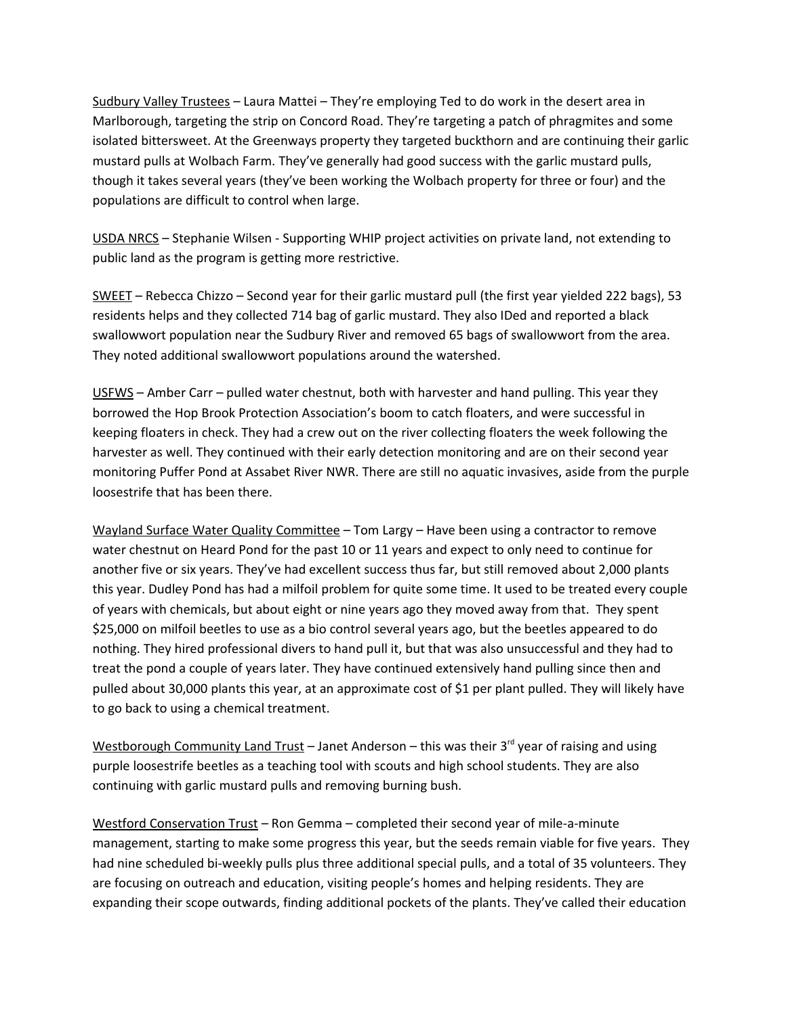Sudbury Valley Trustees – Laura Mattei – They're employing Ted to do work in the desert area in Marlborough, targeting the strip on Concord Road. They're targeting a patch of phragmites and some isolated bittersweet. At the Greenways property they targeted buckthorn and are continuing their garlic mustard pulls at Wolbach Farm. They've generally had good success with the garlic mustard pulls, though it takes several years (they've been working the Wolbach property for three or four) and the populations are difficult to control when large.

USDA NRCS – Stephanie Wilsen - Supporting WHIP project activities on private land, not extending to public land as the program is getting more restrictive.

SWEET – Rebecca Chizzo – Second year for their garlic mustard pull (the first year yielded 222 bags), 53 residents helps and they collected 714 bag of garlic mustard. They also IDed and reported a black swallowwort population near the Sudbury River and removed 65 bags of swallowwort from the area. They noted additional swallowwort populations around the watershed.

USFWS – Amber Carr – pulled water chestnut, both with harvester and hand pulling. This year they borrowed the Hop Brook Protection Association's boom to catch floaters, and were successful in keeping floaters in check. They had a crew out on the river collecting floaters the week following the harvester as well. They continued with their early detection monitoring and are on their second year monitoring Puffer Pond at Assabet River NWR. There are still no aquatic invasives, aside from the purple loosestrife that has been there.

Wayland Surface Water Quality Committee – Tom Largy – Have been using a contractor to remove water chestnut on Heard Pond for the past 10 or 11 years and expect to only need to continue for another five or six years. They've had excellent success thus far, but still removed about 2,000 plants this year. Dudley Pond has had a milfoil problem for quite some time. It used to be treated every couple of years with chemicals, but about eight or nine years ago they moved away from that. They spent \$25,000 on milfoil beetles to use as a bio control several years ago, but the beetles appeared to do nothing. They hired professional divers to hand pull it, but that was also unsuccessful and they had to treat the pond a couple of years later. They have continued extensively hand pulling since then and pulled about 30,000 plants this year, at an approximate cost of \$1 per plant pulled. They will likely have to go back to using a chemical treatment.

Westborough Community Land Trust – Janet Anderson – this was their  $3<sup>rd</sup>$  year of raising and using purple loosestrife beetles as a teaching tool with scouts and high school students. They are also continuing with garlic mustard pulls and removing burning bush.

Westford Conservation Trust – Ron Gemma – completed their second year of mile-a-minute management, starting to make some progress this year, but the seeds remain viable for five years. They had nine scheduled bi-weekly pulls plus three additional special pulls, and a total of 35 volunteers. They are focusing on outreach and education, visiting people's homes and helping residents. They are expanding their scope outwards, finding additional pockets of the plants. They've called their education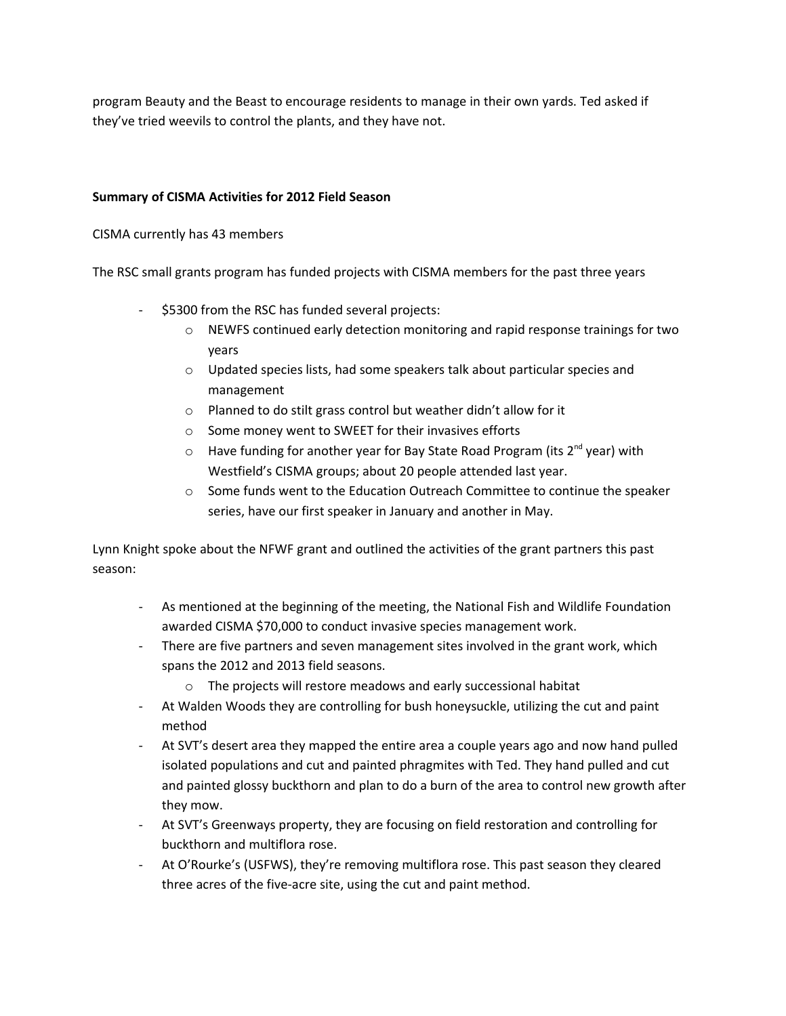program Beauty and the Beast to encourage residents to manage in their own yards. Ted asked if they've tried weevils to control the plants, and they have not.

## **Summary of CISMA Activities for 2012 Field Season**

CISMA currently has 43 members

The RSC small grants program has funded projects with CISMA members for the past three years

- \$5300 from the RSC has funded several projects:
	- o NEWFS continued early detection monitoring and rapid response trainings for two years
	- o Updated species lists, had some speakers talk about particular species and management
	- o Planned to do stilt grass control but weather didn't allow for it
	- o Some money went to SWEET for their invasives efforts
	- o Have funding for another year for Bay State Road Program (its 2<sup>nd</sup> year) with Westfield's CISMA groups; about 20 people attended last year.
	- o Some funds went to the Education Outreach Committee to continue the speaker series, have our first speaker in January and another in May.

Lynn Knight spoke about the NFWF grant and outlined the activities of the grant partners this past season:

- As mentioned at the beginning of the meeting, the National Fish and Wildlife Foundation awarded CISMA \$70,000 to conduct invasive species management work.
- There are five partners and seven management sites involved in the grant work, which spans the 2012 and 2013 field seasons.
	- o The projects will restore meadows and early successional habitat
- At Walden Woods they are controlling for bush honeysuckle, utilizing the cut and paint method
- At SVT's desert area they mapped the entire area a couple years ago and now hand pulled isolated populations and cut and painted phragmites with Ted. They hand pulled and cut and painted glossy buckthorn and plan to do a burn of the area to control new growth after they mow.
- At SVT's Greenways property, they are focusing on field restoration and controlling for buckthorn and multiflora rose.
- At O'Rourke's (USFWS), they're removing multiflora rose. This past season they cleared three acres of the five-acre site, using the cut and paint method.